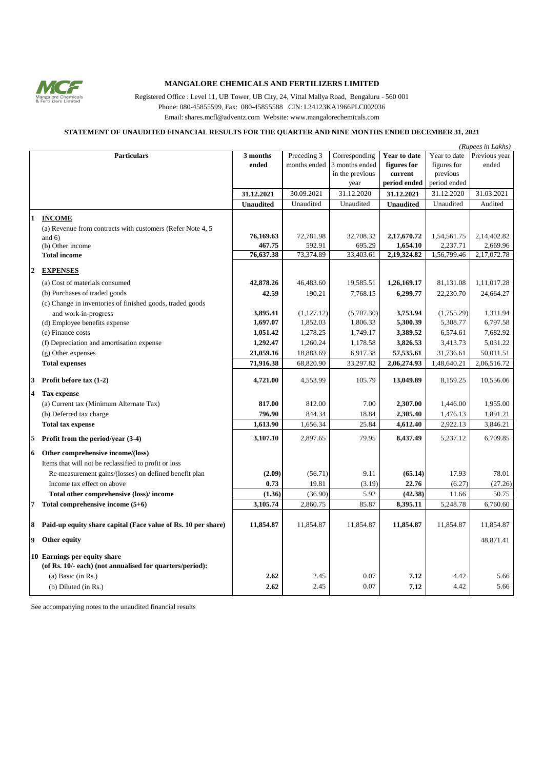

## **MANGALORE CHEMICALS AND FERTILIZERS LIMITED**

Registered Office : Level 11, UB Tower, UB City, 24, Vittal Mallya Road, Bengaluru - 560 001 Phone: 080-45855599, Fax: 080-45855588 CIN: L24123KA1966PLC002036 Email: shares.mcfl@adventz.com Website: www.mangalorechemicals.com

## **STATEMENT OF UNAUDITED FINANCIAL RESULTS FOR THE QUARTER AND NINE MONTHS ENDED DECEMBER 31, 2021**

| (Rupees in Lakhs) |                                                               |                  |              |                 |                                        |              |               |
|-------------------|---------------------------------------------------------------|------------------|--------------|-----------------|----------------------------------------|--------------|---------------|
|                   | <b>Particulars</b>                                            | 3 months         | Preceding 3  | Corresponding   | Year to date                           | Year to date | Previous year |
|                   |                                                               | ended            | months ended | 3 months ended  | figures for                            | figures for  | ended         |
|                   |                                                               |                  |              | in the previous | $\ensuremath{\mathbf{current}}\xspace$ | previous     |               |
|                   |                                                               |                  |              | year            | period ended                           | period ended |               |
|                   |                                                               | 31.12.2021       | 30.09.2021   | 31.12.2020      | 31.12.2021                             | 31.12.2020   | 31.03.2021    |
|                   |                                                               | <b>Unaudited</b> | Unaudited    | Unaudited       | <b>Unaudited</b>                       | Unaudited    | Audited       |
| $\mathbf{1}$      |                                                               |                  |              |                 |                                        |              |               |
|                   | <b>INCOME</b>                                                 |                  |              |                 |                                        |              |               |
|                   | (a) Revenue from contracts with customers (Refer Note 4, 5    | 76,169.63        | 72,781.98    | 32,708.32       | 2,17,670.72                            | 1,54,561.75  | 2,14,402.82   |
|                   | and $6$ )<br>(b) Other income                                 | 467.75           | 592.91       | 695.29          | 1,654.10                               | 2,237.71     | 2,669.96      |
|                   | <b>Total income</b>                                           | 76,637.38        | 73,374.89    | 33,403.61       | 2,19,324.82                            | 1,56,799.46  | 2,17,072.78   |
|                   |                                                               |                  |              |                 |                                        |              |               |
| $\mathbf{2}$      | <b>EXPENSES</b>                                               |                  |              |                 |                                        |              |               |
|                   | (a) Cost of materials consumed                                | 42,878.26        | 46,483.60    | 19,585.51       | 1,26,169.17                            | 81,131.08    | 1,11,017.28   |
|                   | (b) Purchases of traded goods                                 | 42.59            | 190.21       | 7,768.15        | 6,299.77                               | 22,230.70    | 24,664.27     |
|                   | (c) Change in inventories of finished goods, traded goods     |                  |              |                 |                                        |              |               |
|                   | and work-in-progress                                          | 3,895.41         | (1,127.12)   | (5,707.30)      | 3,753.94                               | (1,755.29)   | 1,311.94      |
|                   | (d) Employee benefits expense                                 | 1,697.07         | 1,852.03     | 1,806.33        | 5,300.39                               | 5,308.77     | 6,797.58      |
|                   | (e) Finance costs                                             | 1,051.42         | 1,278.25     | 1,749.17        | 3,389.52                               | 6,574.61     | 7,682.92      |
|                   | (f) Depreciation and amortisation expense                     | 1,292.47         | 1,260.24     | 1,178.58        | 3,826.53                               | 3,413.73     | 5,031.22      |
|                   | $(g)$ Other expenses                                          | 21,059.16        | 18,883.69    | 6,917.38        | 57,535.61                              | 31,736.61    | 50,011.51     |
|                   | <b>Total expenses</b>                                         | 71,916.38        | 68,820.90    | 33,297.82       | 2,06,274.93                            | 1,48,640.21  | 2,06,516.72   |
|                   |                                                               |                  | 4,553.99     | 105.79          | 13,049.89                              |              |               |
| 3                 | Profit before $\text{tax}(1-2)$                               | 4,721.00         |              |                 |                                        | 8,159.25     | 10,556.06     |
| 4                 | <b>Tax expense</b>                                            |                  |              |                 |                                        |              |               |
|                   | (a) Current tax (Minimum Alternate Tax)                       | 817.00           | 812.00       | 7.00            | 2,307.00                               | 1,446.00     | 1,955.00      |
|                   | (b) Deferred tax charge                                       | 796.90           | 844.34       | 18.84           | 2,305.40                               | 1,476.13     | 1,891.21      |
|                   | <b>Total tax expense</b>                                      | 1,613.90         | 1,656.34     | 25.84           | 4,612.40                               | 2,922.13     | 3,846.21      |
| 5.                | Profit from the period/year (3-4)                             | 3,107.10         | 2.897.65     | 79.95           | 8.437.49                               | 5,237.12     | 6.709.85      |
| 6                 | Other comprehensive income/(loss)                             |                  |              |                 |                                        |              |               |
|                   | Items that will not be reclassified to profit or loss         |                  |              |                 |                                        |              |               |
|                   | Re-measurement gains/(losses) on defined benefit plan         | (2.09)           | (56.71)      | 9.11            | (65.14)                                | 17.93        | 78.01         |
|                   | Income tax effect on above                                    | 0.73             | 19.81        | (3.19)          | 22.76                                  | (6.27)       | (27.26)       |
|                   | Total other comprehensive (loss)/income                       | (1.36)           | (36.90)      | 5.92            | (42.38)                                | 11.66        | 50.75         |
| 7                 | Total comprehensive income $(5+6)$                            | 3,105.74         | 2,860.75     | 85.87           | 8,395.11                               | 5,248.78     | 6,760.60      |
|                   |                                                               |                  |              |                 |                                        |              |               |
| 8                 | Paid-up equity share capital (Face value of Rs. 10 per share) | 11,854.87        | 11,854.87    | 11,854.87       | 11,854.87                              | 11,854.87    | 11,854.87     |
|                   | 9 Other equity                                                |                  |              |                 |                                        |              | 48,871.41     |
|                   |                                                               |                  |              |                 |                                        |              |               |
|                   | 10 Earnings per equity share                                  |                  |              |                 |                                        |              |               |
|                   | (of Rs. 10/- each) (not annualised for quarters/period):      |                  |              |                 |                                        |              |               |
|                   | (a) Basic (in $Rs.$ )                                         | 2.62             | 2.45         | 0.07            | 7.12                                   | 4.42         | 5.66          |
|                   | (b) Diluted (in Rs.)                                          | 2.62             | 2.45         | 0.07            | 7.12                                   | 4.42         | 5.66          |

See accompanying notes to the unaudited financial results